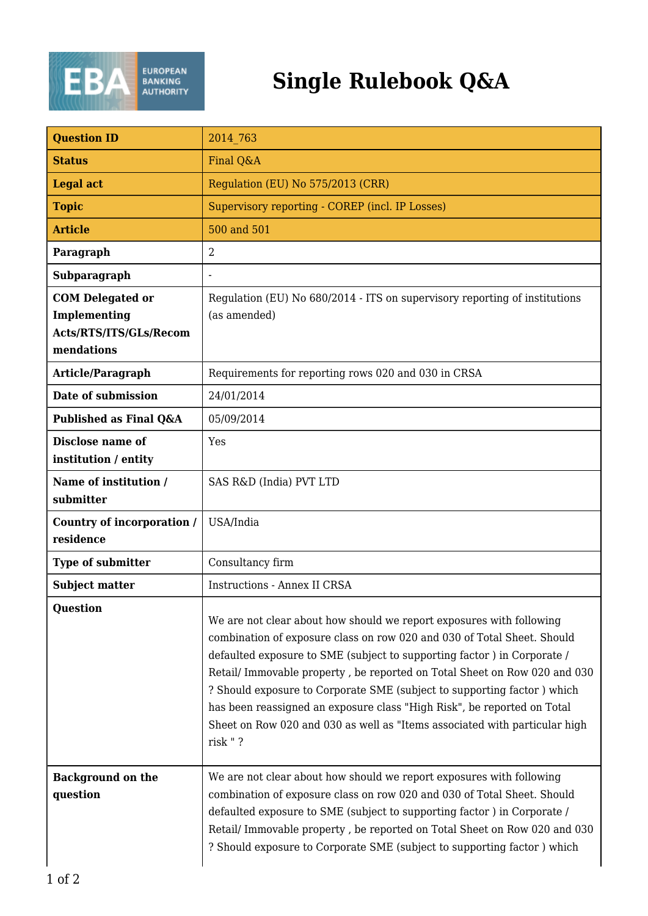

## **Single Rulebook Q&A**

| <b>Question ID</b>                                                              | 2014 763                                                                                                                                                                                                                                                                                                                                                                                                                                                                                                                                               |
|---------------------------------------------------------------------------------|--------------------------------------------------------------------------------------------------------------------------------------------------------------------------------------------------------------------------------------------------------------------------------------------------------------------------------------------------------------------------------------------------------------------------------------------------------------------------------------------------------------------------------------------------------|
| <b>Status</b>                                                                   | Final Q&A                                                                                                                                                                                                                                                                                                                                                                                                                                                                                                                                              |
| <b>Legal act</b>                                                                | Regulation (EU) No 575/2013 (CRR)                                                                                                                                                                                                                                                                                                                                                                                                                                                                                                                      |
| <b>Topic</b>                                                                    | Supervisory reporting - COREP (incl. IP Losses)                                                                                                                                                                                                                                                                                                                                                                                                                                                                                                        |
| <b>Article</b>                                                                  | 500 and 501                                                                                                                                                                                                                                                                                                                                                                                                                                                                                                                                            |
| Paragraph                                                                       | $\overline{2}$                                                                                                                                                                                                                                                                                                                                                                                                                                                                                                                                         |
| Subparagraph                                                                    |                                                                                                                                                                                                                                                                                                                                                                                                                                                                                                                                                        |
| <b>COM Delegated or</b><br>Implementing<br>Acts/RTS/ITS/GLs/Recom<br>mendations | Regulation (EU) No 680/2014 - ITS on supervisory reporting of institutions<br>(as amended)                                                                                                                                                                                                                                                                                                                                                                                                                                                             |
| Article/Paragraph                                                               | Requirements for reporting rows 020 and 030 in CRSA                                                                                                                                                                                                                                                                                                                                                                                                                                                                                                    |
| Date of submission                                                              | 24/01/2014                                                                                                                                                                                                                                                                                                                                                                                                                                                                                                                                             |
| Published as Final Q&A                                                          | 05/09/2014                                                                                                                                                                                                                                                                                                                                                                                                                                                                                                                                             |
| Disclose name of<br>institution / entity                                        | Yes                                                                                                                                                                                                                                                                                                                                                                                                                                                                                                                                                    |
| Name of institution /<br>submitter                                              | SAS R&D (India) PVT LTD                                                                                                                                                                                                                                                                                                                                                                                                                                                                                                                                |
| Country of incorporation /<br>residence                                         | USA/India                                                                                                                                                                                                                                                                                                                                                                                                                                                                                                                                              |
| <b>Type of submitter</b>                                                        | Consultancy firm                                                                                                                                                                                                                                                                                                                                                                                                                                                                                                                                       |
| <b>Subject matter</b>                                                           | <b>Instructions - Annex II CRSA</b>                                                                                                                                                                                                                                                                                                                                                                                                                                                                                                                    |
| <b>Question</b>                                                                 | We are not clear about how should we report exposures with following<br>combination of exposure class on row 020 and 030 of Total Sheet. Should<br>defaulted exposure to SME (subject to supporting factor) in Corporate /<br>Retail/ Immovable property, be reported on Total Sheet on Row 020 and 030<br>? Should exposure to Corporate SME (subject to supporting factor) which<br>has been reassigned an exposure class "High Risk", be reported on Total<br>Sheet on Row 020 and 030 as well as "Items associated with particular high<br>risk "? |
| <b>Background on the</b><br>question                                            | We are not clear about how should we report exposures with following<br>combination of exposure class on row 020 and 030 of Total Sheet. Should<br>defaulted exposure to SME (subject to supporting factor) in Corporate /<br>Retail/ Immovable property, be reported on Total Sheet on Row 020 and 030<br>? Should exposure to Corporate SME (subject to supporting factor) which                                                                                                                                                                     |